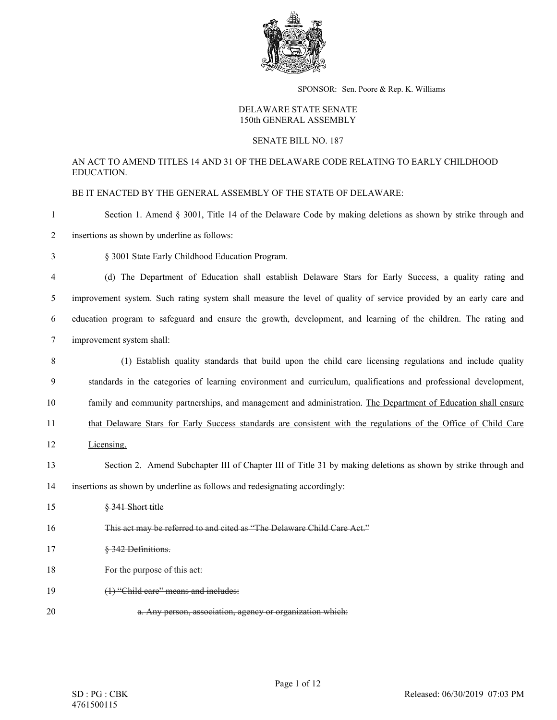

SPONSOR: Sen. Poore & Rep. K. Williams

## DELAWARE STATE SENATE 150th GENERAL ASSEMBLY

## SENATE BILL NO. 187

## AN ACT TO AMEND TITLES 14 AND 31 OF THE DELAWARE CODE RELATING TO EARLY CHILDHOOD EDUCATION.

BE IT ENACTED BY THE GENERAL ASSEMBLY OF THE STATE OF DELAWARE:

- 1 Section 1. Amend § 3001, Title 14 of the Delaware Code by making deletions as shown by strike through and
- 2 insertions as shown by underline as follows:
- 3 § 3001 State Early Childhood Education Program.
- 4 (d) The Department of Education shall establish Delaware Stars for Early Success, a quality rating and 5 improvement system. Such rating system shall measure the level of quality of service provided by an early care and 6 education program to safeguard and ensure the growth, development, and learning of the children. The rating and 7 improvement system shall:
- 8 (1) Establish quality standards that build upon the child care licensing regulations and include quality 9 standards in the categories of learning environment and curriculum, qualifications and professional development, 10 family and community partnerships, and management and administration. The Department of Education shall ensure 11 that Delaware Stars for Early Success standards are consistent with the regulations of the Office of Child Care 12 Licensing. 13 Section 2. Amend Subchapter III of Chapter III of Title 31 by making deletions as shown by strike through and 14 insertions as shown by underline as follows and redesignating accordingly: 15 § 341 Short title 16 This act may be referred to and cited as "The Delaware Child Care Act." 17 § 342 Definitions. 18 For the purpose of this act: 19 (1) "Child care" means and includes:
- 20 a. Any person, association, agency or organization which: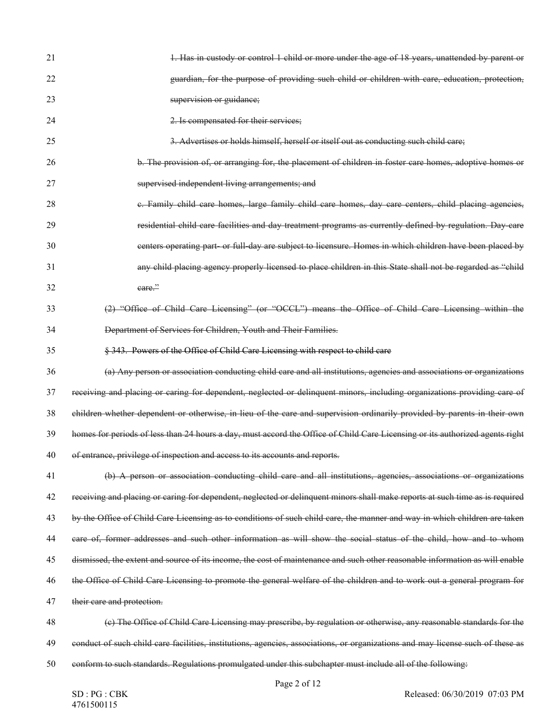| 21 | 1. Has in custody or control 1 child or more under the age of 18 years, unattended by parent or                                |
|----|--------------------------------------------------------------------------------------------------------------------------------|
| 22 | guardian, for the purpose of providing such child or children with care, education, protection,                                |
| 23 | supervision or guidance;                                                                                                       |
| 24 | 2. Is compensated for their services;                                                                                          |
| 25 | 3. Advertises or holds himself, herself or itself out as conducting such child care;                                           |
| 26 | b. The provision of, or arranging for, the placement of children in foster care homes, adoptive homes or                       |
| 27 | supervised independent living arrangements; and                                                                                |
| 28 | e. Family child care homes, large family child care homes, day care centers, child placing agencies,                           |
| 29 | residential child care facilities and day treatment programs as currently defined by regulation. Day care                      |
| 30 | centers operating part- or full-day are subject to licensure. Homes in which children have been placed by                      |
| 31 | any child placing agency properly licensed to place children in this State shall not be regarded as "child                     |
| 32 | eare."                                                                                                                         |
| 33 | (2) "Office of Child Care Licensing" (or "OCCL") means the Office of Child Care Licensing within the                           |
| 34 | Department of Services for Children, Youth and Their Families.                                                                 |
| 35 | § 343. Powers of the Office of Child Care Licensing with respect to child care                                                 |
| 36 | (a) Any person or association conducting child care and all institutions, agencies and associations or organizations           |
| 37 | receiving and placing or caring for dependent, neglected or delinquent minors, including organizations providing care of       |
| 38 | children whether dependent or otherwise, in lieu of the care and supervision ordinarily provided by parents in their own       |
| 39 | homes for periods of less than 24 hours a day, must accord the Office of Child Care Licensing or its authorized agents right   |
| 40 | of entrance, privilege of inspection and access to its accounts and reports.                                                   |
| 41 | (b) A person or association conducting child care and all institutions, agencies, associations or organizations                |
| 42 | receiving and placing or caring for dependent, neglected or delinquent minors shall make reports at such time as is required   |
| 43 | by the Office of Child Care Licensing as to conditions of such child care, the manner and way in which children are taken      |
| 44 | care of, former addresses and such other information as will show the social status of the child, how and to whom              |
| 45 | dismissed, the extent and source of its income, the cost of maintenance and such other reasonable information as will enable   |
| 46 | the Office of Child Care Licensing to promote the general welfare of the children and to work out a general program for        |
| 47 | their care and protection.                                                                                                     |
| 48 | (e) The Office of Child Care Licensing may prescribe, by regulation or otherwise, any reasonable standards for the             |
| 49 | conduct of such child care facilities, institutions, agencies, associations, or organizations and may license such of these as |
| 50 | conform to such standards. Regulations promulgated under this subchapter must include all of the following:                    |
|    |                                                                                                                                |

Page 2 of 12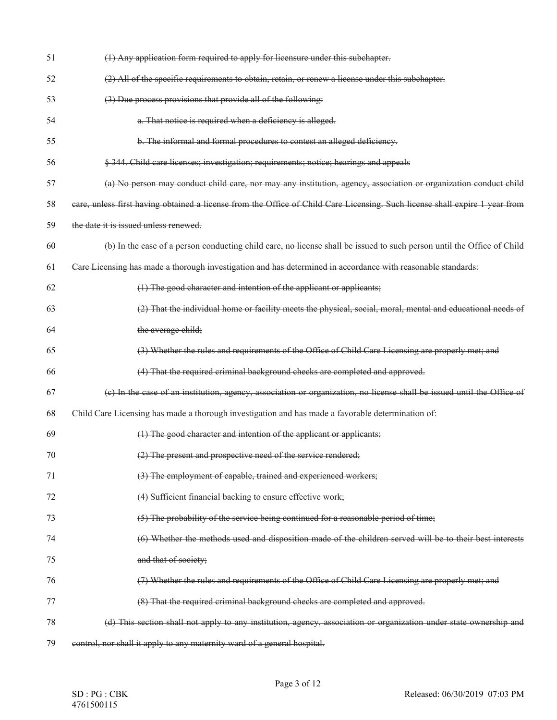| 51 | (1) Any application form required to apply for licensure under this subchapter.                                             |
|----|-----------------------------------------------------------------------------------------------------------------------------|
| 52 | (2) All of the specific requirements to obtain, retain, or renew a license under this subchapter.                           |
| 53 | (3) Due process provisions that provide all of the following:                                                               |
| 54 | a. That notice is required when a deficiency is alleged.                                                                    |
| 55 | b. The informal and formal procedures to contest an alleged deficiency.                                                     |
| 56 | § 344. Child care licenses; investigation; requirements; notice; hearings and appeals                                       |
| 57 | (a) No person may conduct child care, nor may any institution, agency, association or organization conduct child            |
| 58 | care, unless first having obtained a license from the Office of Child Care Licensing. Such license shall expire 1 year from |
| 59 | the date it is issued unless renewed.                                                                                       |
| 60 | (b) In the case of a person conducting child care, no license shall be issued to such person until the Office of Child      |
| 61 | Care Licensing has made a thorough investigation and has determined in accordance with reasonable standards:                |
| 62 | (1) The good character and intention of the applicant or applicants;                                                        |
| 63 | (2) That the individual home or facility meets the physical, social, moral, mental and educational needs of                 |
| 64 | the average child;                                                                                                          |
| 65 | (3) Whether the rules and requirements of the Office of Child Care Licensing are properly met; and                          |
| 66 | (4) That the required criminal background checks are completed and approved.                                                |
| 67 | (e) In the case of an institution, agency, association or organization, no license shall be issued until the Office of      |
| 68 | Child Care Licensing has made a thorough investigation and has made a favorable determination of:                           |
| 69 | (1) The good character and intention of the applicant or applicants;                                                        |
| 70 | (2) The present and prospective need of the service rendered;                                                               |
| 71 | (3) The employment of capable, trained and experienced workers;                                                             |
| 72 | (4) Sufficient financial backing to ensure effective work;                                                                  |
| 73 | (5) The probability of the service being continued for a reasonable period of time;                                         |
| 74 | (6) Whether the methods used and disposition made of the children served will be to their best interests                    |
| 75 | and that of society;                                                                                                        |
| 76 | (7) Whether the rules and requirements of the Office of Child Care Licensing are properly met; and                          |
| 77 | (8) That the required criminal background checks are completed and approved.                                                |
| 78 | (d) This section shall not apply to any institution, agency, association or organization under state ownership and          |
| 79 | control, nor shall it apply to any maternity ward of a general hospital.                                                    |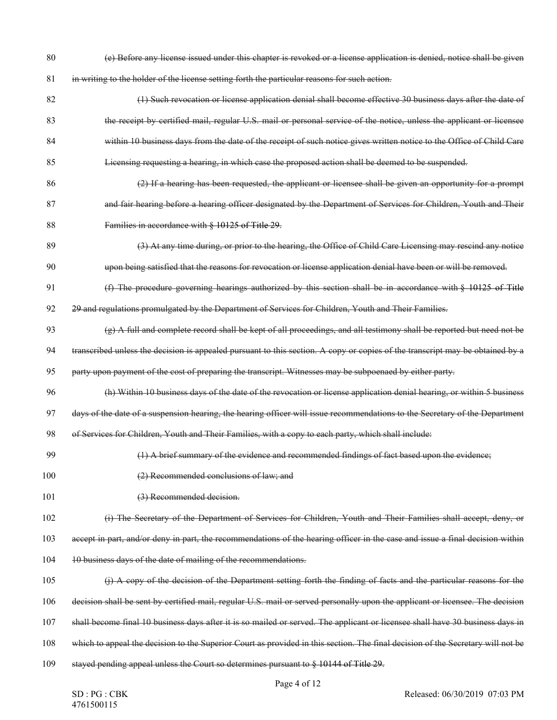- (e) Before any license issued under this chapter is revoked or a license application is denied, notice shall be given in writing to the holder of the license setting forth the particular reasons for such action.
- (1) Such revocation or license application denial shall become effective 30 business days after the date of the receipt by certified mail, regular U.S. mail or personal service of the notice, unless the applicant or licensee within 10 business days from the date of the receipt of such notice gives written notice to the Office of Child Care Licensing requesting a hearing, in which case the proposed action shall be deemed to be suspended.
- (2) If a hearing has been requested, the applicant or licensee shall be given an opportunity for a prompt 87 and fair hearing before a hearing officer designated by the Department of Services for Children, Youth and Their Families in accordance with § 10125 of Title 29.
- (3) At any time during, or prior to the hearing, the Office of Child Care Licensing may rescind any notice upon being satisfied that the reasons for revocation or license application denial have been or will be removed.
- (f) The procedure governing hearings authorized by this section shall be in accordance with § 10125 of Title
- 92 29 and regulations promulgated by the Department of Services for Children, Youth and Their Families.

93  $\left(g\right)$  A full and complete record shall be kept of all proceedings, and all testimony shall be reported but need not be

transcribed unless the decision is appealed pursuant to this section. A copy or copies of the transcript may be obtained by a

party upon payment of the cost of preparing the transcript. Witnesses may be subpoenaed by either party.

(h) Within 10 business days of the date of the revocation or license application denial hearing, or within 5 business

days of the date of a suspension hearing, the hearing officer will issue recommendations to the Secretary of the Department

of Services for Children, Youth and Their Families, with a copy to each party, which shall include:

- (1) A brief summary of the evidence and recommended findings of fact based upon the evidence;
- (2) Recommended conclusions of law; and
- 101 (3) Recommended decision.
- (i) The Secretary of the Department of Services for Children, Youth and Their Families shall accept, deny, or

accept in part, and/or deny in part, the recommendations of the hearing officer in the case and issue a final decision within

- 104 10 business days of the date of mailing of the recommendations.
- (j) A copy of the decision of the Department setting forth the finding of facts and the particular reasons for the
- decision shall be sent by certified mail, regular U.S. mail or served personally upon the applicant or licensee. The decision
- shall become final 10 business days after it is so mailed or served. The applicant or licensee shall have 30 business days in
- which to appeal the decision to the Superior Court as provided in this section. The final decision of the Secretary will not be
- stayed pending appeal unless the Court so determines pursuant to § 10144 of Title 29.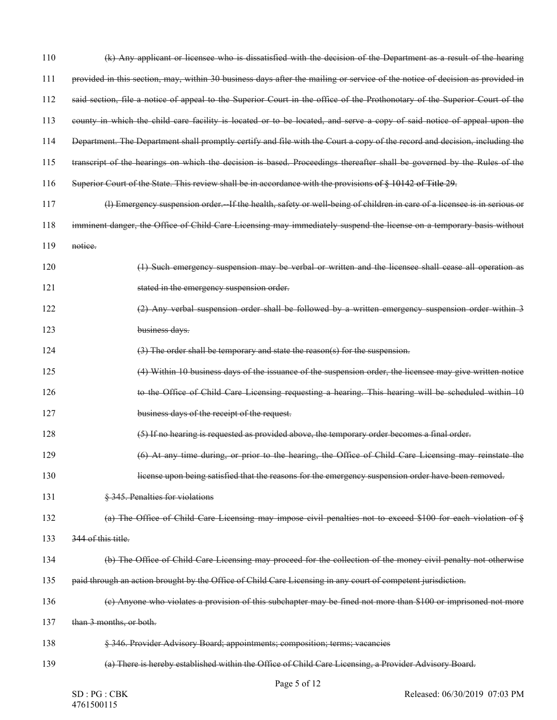| 110 | (k) Any applicant or licensee who is dissatisfied with the decision of the Department as a result of the hearing             |
|-----|------------------------------------------------------------------------------------------------------------------------------|
| 111 | provided in this section, may, within 30 business days after the mailing or service of the notice of decision as provided in |
| 112 | said section, file a notice of appeal to the Superior Court in the office of the Prothonotary of the Superior Court of the   |
| 113 | county in which the child care facility is located or to be located, and serve a copy of said notice of appeal upon the      |
| 114 | Department. The Department shall promptly certify and file with the Court a copy of the record and decision, including the   |
| 115 | transcript of the hearings on which the decision is based. Proceedings thereafter shall be governed by the Rules of the      |
| 116 | Superior Court of the State. This review shall be in accordance with the provisions of § 10142 of Title 29.                  |
| 117 | (I) Emergency suspension order.-If the health, safety or well being of children in care of a licensee is in serious or       |
| 118 | imminent danger, the Office of Child Care Licensing may immediately suspend the license on a temporary basis without         |
| 119 | notice.                                                                                                                      |
| 120 | (1) Such emergency suspension may be verbal or written and the licensee shall cease all operation as                         |
| 121 | stated in the emergency suspension order.                                                                                    |
| 122 | (2) Any verbal suspension order shall be followed by a written emergency suspension order within 3                           |
| 123 | business days.                                                                                                               |
| 124 | (3) The order shall be temporary and state the reason(s) for the suspension.                                                 |
| 125 | (4) Within 10 business days of the issuance of the suspension order, the licensee may give written notice                    |
| 126 | to the Office of Child Care Licensing requesting a hearing. This hearing will be scheduled within 10                         |
| 127 | business days of the receipt of the request.                                                                                 |
| 128 | (5) If no hearing is requested as provided above, the temporary order becomes a final order.                                 |
| 129 | (6) At any time during, or prior to the hearing, the Office of Child Care Licensing may reinstate the                        |
| 130 | license upon being satisfied that the reasons for the emergency suspension order have been removed.                          |
| 131 | § 345. Penalties for violations                                                                                              |
| 132 | (a) The Office of Child Care Licensing may impose civil penalties not to exceed \$100 for each violation of §                |
| 133 | 344 of this title.                                                                                                           |
| 134 | (b) The Office of Child Care Licensing may proceed for the collection of the money civil penalty not otherwise               |
| 135 | paid through an action brought by the Office of Child Care Licensing in any court of competent jurisdiction.                 |
| 136 | (e) Anyone who violates a provision of this subchapter may be fined not more than \$100 or imprisoned not more               |
| 137 | than 3 months, or both.                                                                                                      |
| 138 | § 346. Provider Advisory Board; appointments; composition; terms; vacancies                                                  |
| 139 | (a) There is hereby established within the Office of Child Care Licensing, a Provider Advisory Board.                        |
|     | $\alpha$ $\alpha$ $\beta$ $\beta$ 12                                                                                         |

Page 5 of 12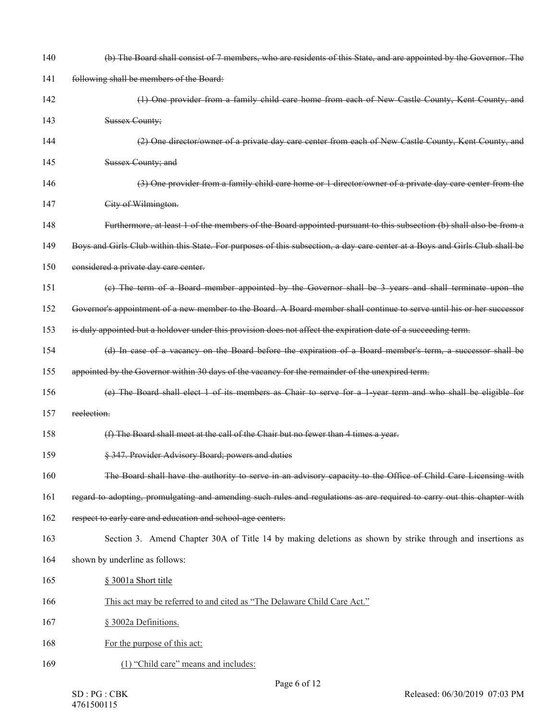| 140 | (b) The Board shall consist of 7 members, who are residents of this State, and are appointed by the Governor. The           |
|-----|-----------------------------------------------------------------------------------------------------------------------------|
| 141 | following shall be members of the Board:                                                                                    |
| 142 | (1) One provider from a family child care home from each of New Castle County, Kent County, and                             |
| 143 | <b>Sussex County;</b>                                                                                                       |
| 144 | (2) One director/owner of a private day care center from each of New Castle County, Kent County, and                        |
| 145 | Sussex County; and                                                                                                          |
| 146 | (3) One provider from a family child care home or 1 director/owner of a private day care center from the                    |
| 147 | City of Wilmington.                                                                                                         |
| 148 | Furthermore, at least 1 of the members of the Board appointed pursuant to this subsection (b) shall also be from a          |
| 149 | Boys and Girls Club within this State. For purposes of this subsection, a day care center at a Boys and Girls Club shall be |
| 150 | considered a private day care center.                                                                                       |
| 151 | (e) The term of a Board member appointed by the Governor shall be 3 years and shall terminate upon the                      |
| 152 | Governor's appointment of a new member to the Board. A Board member shall continue to serve until his or her successor      |
| 153 | is duly appointed but a holdover under this provision does not affect the expiration date of a succeeding term.             |
| 154 | (d) In case of a vacancy on the Board before the expiration of a Board member's term, a successor shall be                  |
| 155 | appointed by the Governor within 30 days of the vacancy for the remainder of the unexpired term.                            |
| 156 | (e) The Board shall elect 1 of its members as Chair to serve for a 1-year term and who shall be eligible for                |
| 157 | reelection.                                                                                                                 |
| 158 | (f) The Board shall meet at the call of the Chair but no fewer than 4 times a year.                                         |
| 159 | § 347. Provider Advisory Board; powers and duties                                                                           |
| 160 | The Board shall have the authority to serve in an advisory capacity to the Office of Child Care Licensing with              |
| 161 | regard to adopting, promulgating and amending such rules and regulations as are required to carry out this chapter with     |
| 162 | respect to early care and education and school-age centers.                                                                 |
| 163 | Section 3. Amend Chapter 30A of Title 14 by making deletions as shown by strike through and insertions as                   |
| 164 | shown by underline as follows:                                                                                              |
| 165 | § 3001a Short title                                                                                                         |
| 166 | This act may be referred to and cited as "The Delaware Child Care Act."                                                     |
| 167 | § 3002a Definitions.                                                                                                        |
| 168 | For the purpose of this act:                                                                                                |
| 169 | (1) "Child care" means and includes:                                                                                        |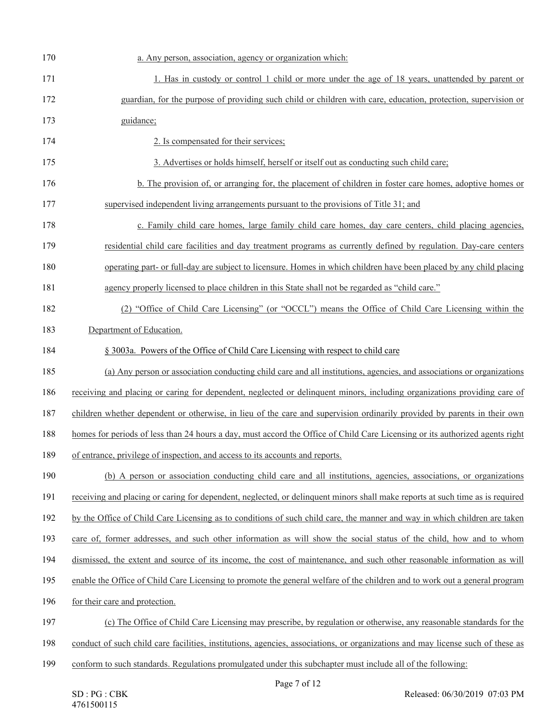| 170 | a. Any person, association, agency or organization which:                                                                      |
|-----|--------------------------------------------------------------------------------------------------------------------------------|
| 171 | 1. Has in custody or control 1 child or more under the age of 18 years, unattended by parent or                                |
| 172 | guardian, for the purpose of providing such child or children with care, education, protection, supervision or                 |
| 173 | guidance;                                                                                                                      |
| 174 | 2. Is compensated for their services;                                                                                          |
| 175 | 3. Advertises or holds himself, herself or itself out as conducting such child care;                                           |
| 176 | b. The provision of, or arranging for, the placement of children in foster care homes, adoptive homes or                       |
| 177 | supervised independent living arrangements pursuant to the provisions of Title 31; and                                         |
| 178 | c. Family child care homes, large family child care homes, day care centers, child placing agencies,                           |
| 179 | residential child care facilities and day treatment programs as currently defined by regulation. Day-care centers              |
| 180 | operating part- or full-day are subject to licensure. Homes in which children have been placed by any child placing            |
| 181 | agency properly licensed to place children in this State shall not be regarded as "child care."                                |
| 182 | (2) "Office of Child Care Licensing" (or "OCCL") means the Office of Child Care Licensing within the                           |
| 183 | Department of Education.                                                                                                       |
| 184 | § 3003a. Powers of the Office of Child Care Licensing with respect to child care                                               |
| 185 | (a) Any person or association conducting child care and all institutions, agencies, and associations or organizations          |
| 186 | receiving and placing or caring for dependent, neglected or delinquent minors, including organizations providing care of       |
| 187 | children whether dependent or otherwise, in lieu of the care and supervision ordinarily provided by parents in their own       |
| 188 | homes for periods of less than 24 hours a day, must accord the Office of Child Care Licensing or its authorized agents right   |
| 189 | of entrance, privilege of inspection, and access to its accounts and reports.                                                  |
| 190 | (b) A person or association conducting child care and all institutions, agencies, associations, or organizations               |
| 191 | receiving and placing or caring for dependent, neglected, or delinquent minors shall make reports at such time as is required  |
| 192 | by the Office of Child Care Licensing as to conditions of such child care, the manner and way in which children are taken      |
| 193 | care of, former addresses, and such other information as will show the social status of the child, how and to whom             |
| 194 | dismissed, the extent and source of its income, the cost of maintenance, and such other reasonable information as will         |
| 195 | enable the Office of Child Care Licensing to promote the general welfare of the children and to work out a general program     |
| 196 | for their care and protection.                                                                                                 |
| 197 | (c) The Office of Child Care Licensing may prescribe, by regulation or otherwise, any reasonable standards for the             |
| 198 | conduct of such child care facilities, institutions, agencies, associations, or organizations and may license such of these as |
| 199 | conform to such standards. Regulations promulgated under this subchapter must include all of the following:                    |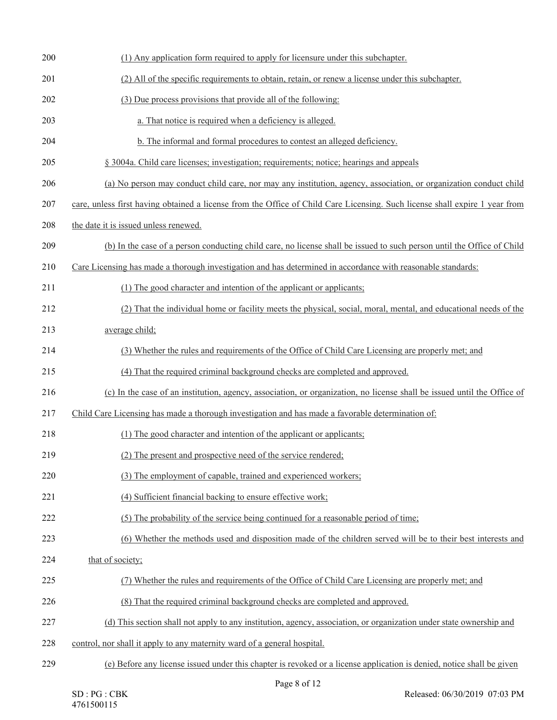| 200 | (1) Any application form required to apply for licensure under this subchapter.                                             |
|-----|-----------------------------------------------------------------------------------------------------------------------------|
| 201 | (2) All of the specific requirements to obtain, retain, or renew a license under this subchapter.                           |
| 202 | (3) Due process provisions that provide all of the following:                                                               |
| 203 | a. That notice is required when a deficiency is alleged.                                                                    |
| 204 | b. The informal and formal procedures to contest an alleged deficiency.                                                     |
| 205 | § 3004a. Child care licenses; investigation; requirements; notice; hearings and appeals                                     |
| 206 | (a) No person may conduct child care, nor may any institution, agency, association, or organization conduct child           |
| 207 | care, unless first having obtained a license from the Office of Child Care Licensing. Such license shall expire 1 year from |
| 208 | the date it is issued unless renewed.                                                                                       |
| 209 | (b) In the case of a person conducting child care, no license shall be issued to such person until the Office of Child      |
| 210 | Care Licensing has made a thorough investigation and has determined in accordance with reasonable standards:                |
| 211 | (1) The good character and intention of the applicant or applicants;                                                        |
| 212 | (2) That the individual home or facility meets the physical, social, moral, mental, and educational needs of the            |
| 213 | average child;                                                                                                              |
| 214 | (3) Whether the rules and requirements of the Office of Child Care Licensing are properly met; and                          |
| 215 | (4) That the required criminal background checks are completed and approved.                                                |
| 216 | (c) In the case of an institution, agency, association, or organization, no license shall be issued until the Office of     |
| 217 | Child Care Licensing has made a thorough investigation and has made a favorable determination of:                           |
|     |                                                                                                                             |
| 218 | (1) The good character and intention of the applicant or applicants;                                                        |
| 219 | (2) The present and prospective need of the service rendered;                                                               |
| 220 | (3) The employment of capable, trained and experienced workers;                                                             |
| 221 | (4) Sufficient financial backing to ensure effective work;                                                                  |
| 222 | (5) The probability of the service being continued for a reasonable period of time;                                         |
| 223 | (6) Whether the methods used and disposition made of the children served will be to their best interests and                |
| 224 | that of society;                                                                                                            |
| 225 | (7) Whether the rules and requirements of the Office of Child Care Licensing are properly met; and                          |
| 226 | (8) That the required criminal background checks are completed and approved.                                                |
| 227 | (d) This section shall not apply to any institution, agency, association, or organization under state ownership and         |
| 228 | control, nor shall it apply to any maternity ward of a general hospital.                                                    |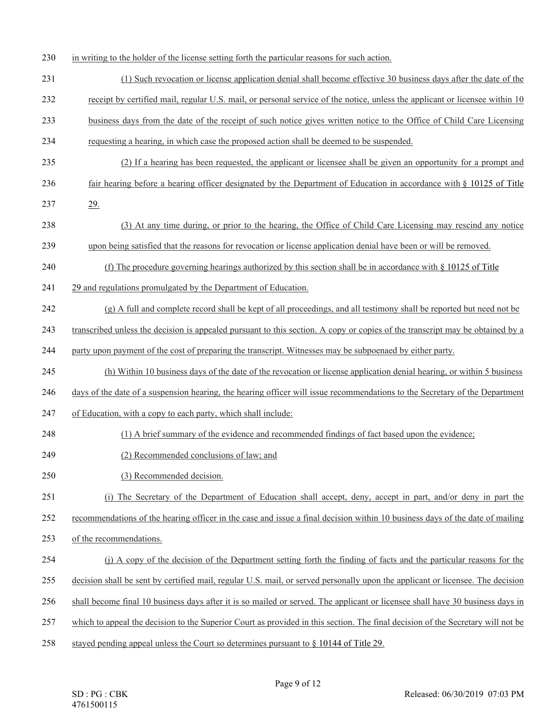- in writing to the holder of the license setting forth the particular reasons for such action.
- (1) Such revocation or license application denial shall become effective 30 business days after the date of the
- receipt by certified mail, regular U.S. mail, or personal service of the notice, unless the applicant or licensee within 10
- business days from the date of the receipt of such notice gives written notice to the Office of Child Care Licensing
- requesting a hearing, in which case the proposed action shall be deemed to be suspended.
- (2) If a hearing has been requested, the applicant or licensee shall be given an opportunity for a prompt and
- 236 fair hearing before a hearing officer designated by the Department of Education in accordance with § 10125 of Title
- 237 29.
- (3) At any time during, or prior to the hearing, the Office of Child Care Licensing may rescind any notice
- upon being satisfied that the reasons for revocation or license application denial have been or will be removed.
- (f) The procedure governing hearings authorized by this section shall be in accordance with § 10125 of Title
- 241 29 and regulations promulgated by the Department of Education.
- (g) A full and complete record shall be kept of all proceedings, and all testimony shall be reported but need not be
- transcribed unless the decision is appealed pursuant to this section. A copy or copies of the transcript may be obtained by a
- party upon payment of the cost of preparing the transcript. Witnesses may be subpoenaed by either party.
- (h) Within 10 business days of the date of the revocation or license application denial hearing, or within 5 business
- days of the date of a suspension hearing, the hearing officer will issue recommendations to the Secretary of the Department
- of Education, with a copy to each party, which shall include:
- (1) A brief summary of the evidence and recommended findings of fact based upon the evidence;
- (2) Recommended conclusions of law; and
- (3) Recommended decision.
- (i) The Secretary of the Department of Education shall accept, deny, accept in part, and/or deny in part the
- recommendations of the hearing officer in the case and issue a final decision within 10 business days of the date of mailing
- of the recommendations.
- (j) A copy of the decision of the Department setting forth the finding of facts and the particular reasons for the
- 255 decision shall be sent by certified mail, regular U.S. mail, or served personally upon the applicant or licensee. The decision
- shall become final 10 business days after it is so mailed or served. The applicant or licensee shall have 30 business days in
- which to appeal the decision to the Superior Court as provided in this section. The final decision of the Secretary will not be
- stayed pending appeal unless the Court so determines pursuant to § 10144 of Title 29.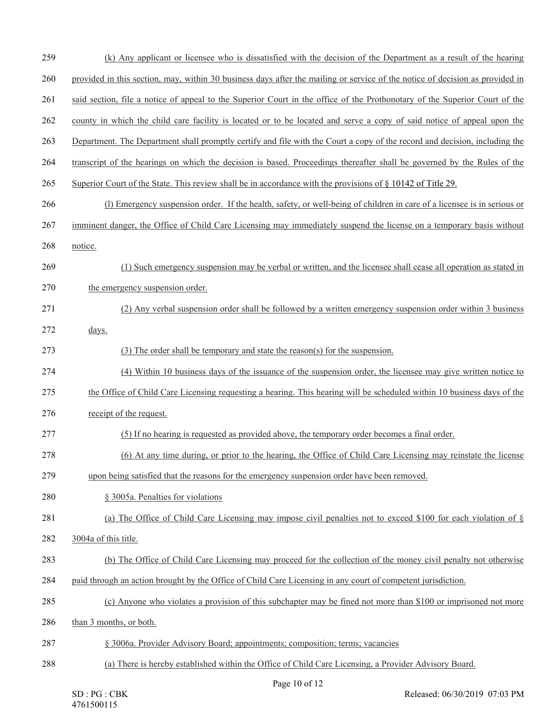(k) Any applicant or licensee who is dissatisfied with the decision of the Department as a result of the hearing provided in this section, may, within 30 business days after the mailing or service of the notice of decision as provided in said section, file a notice of appeal to the Superior Court in the office of the Prothonotary of the Superior Court of the county in which the child care facility is located or to be located and serve a copy of said notice of appeal upon the Department. The Department shall promptly certify and file with the Court a copy of the record and decision, including the transcript of the hearings on which the decision is based. Proceedings thereafter shall be governed by the Rules of the Superior Court of the State. This review shall be in accordance with the provisions of § 10142 of Title 29. (l) Emergency suspension order. If the health, safety, or well-being of children in care of a licensee is in serious or imminent danger, the Office of Child Care Licensing may immediately suspend the license on a temporary basis without notice. (1) Such emergency suspension may be verbal or written, and the licensee shall cease all operation as stated in 270 the emergency suspension order. (2) Any verbal suspension order shall be followed by a written emergency suspension order within 3 business days. (3) The order shall be temporary and state the reason(s) for the suspension. (4) Within 10 business days of the issuance of the suspension order, the licensee may give written notice to the Office of Child Care Licensing requesting a hearing. This hearing will be scheduled within 10 business days of the receipt of the request. (5) If no hearing is requested as provided above, the temporary order becomes a final order. (6) At any time during, or prior to the hearing, the Office of Child Care Licensing may reinstate the license upon being satisfied that the reasons for the emergency suspension order have been removed. § 3005a. Penalties for violations 281 (a) The Office of Child Care Licensing may impose civil penalties not to exceed \$100 for each violation of § 3004a of this title. (b) The Office of Child Care Licensing may proceed for the collection of the money civil penalty not otherwise paid through an action brought by the Office of Child Care Licensing in any court of competent jurisdiction. (c) Anyone who violates a provision of this subchapter may be fined not more than \$100 or imprisoned not more than 3 months, or both. § 3006a. Provider Advisory Board; appointments; composition; terms; vacancies (a) There is hereby established within the Office of Child Care Licensing, a Provider Advisory Board.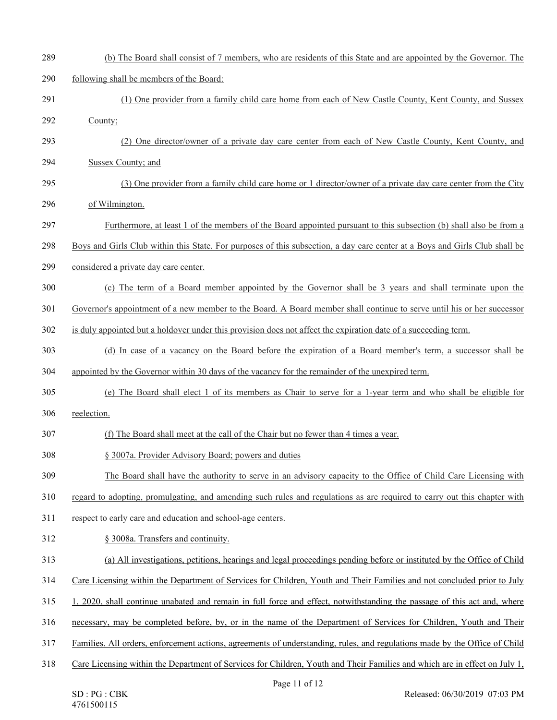| 289 | (b) The Board shall consist of 7 members, who are residents of this State and are appointed by the Governor. The            |
|-----|-----------------------------------------------------------------------------------------------------------------------------|
| 290 | following shall be members of the Board:                                                                                    |
| 291 | (1) One provider from a family child care home from each of New Castle County, Kent County, and Sussex                      |
| 292 | County;                                                                                                                     |
| 293 | (2) One director/owner of a private day care center from each of New Castle County, Kent County, and                        |
| 294 | Sussex County; and                                                                                                          |
| 295 | (3) One provider from a family child care home or 1 director/owner of a private day care center from the City               |
| 296 | of Wilmington.                                                                                                              |
| 297 | Furthermore, at least 1 of the members of the Board appointed pursuant to this subsection (b) shall also be from a          |
| 298 | Boys and Girls Club within this State. For purposes of this subsection, a day care center at a Boys and Girls Club shall be |
| 299 | considered a private day care center.                                                                                       |
| 300 | (c) The term of a Board member appointed by the Governor shall be 3 years and shall terminate upon the                      |
| 301 | Governor's appointment of a new member to the Board. A Board member shall continue to serve until his or her successor      |
| 302 | is duly appointed but a holdover under this provision does not affect the expiration date of a succeeding term.             |
| 303 | (d) In case of a vacancy on the Board before the expiration of a Board member's term, a successor shall be                  |
| 304 | appointed by the Governor within 30 days of the vacancy for the remainder of the unexpired term.                            |
| 305 | (e) The Board shall elect 1 of its members as Chair to serve for a 1-year term and who shall be eligible for                |
| 306 | reelection.                                                                                                                 |
| 307 | (f) The Board shall meet at the call of the Chair but no fewer than 4 times a year.                                         |
| 308 | § 3007a. Provider Advisory Board; powers and duties                                                                         |
| 309 | The Board shall have the authority to serve in an advisory capacity to the Office of Child Care Licensing with              |
| 310 | regard to adopting, promulgating, and amending such rules and regulations as are required to carry out this chapter with    |
| 311 | respect to early care and education and school-age centers.                                                                 |
| 312 | § 3008a. Transfers and continuity.                                                                                          |
| 313 | (a) All investigations, petitions, hearings and legal proceedings pending before or instituted by the Office of Child       |
| 314 | Care Licensing within the Department of Services for Children, Youth and Their Families and not concluded prior to July     |
| 315 | 1, 2020, shall continue unabated and remain in full force and effect, notwithstanding the passage of this act and, where    |
| 316 | necessary, may be completed before, by, or in the name of the Department of Services for Children, Youth and Their          |
| 317 | Families. All orders, enforcement actions, agreements of understanding, rules, and regulations made by the Office of Child  |
| 318 | Care Licensing within the Department of Services for Children, Youth and Their Families and which are in effect on July 1,  |
|     | Page 11 of $12$                                                                                                             |